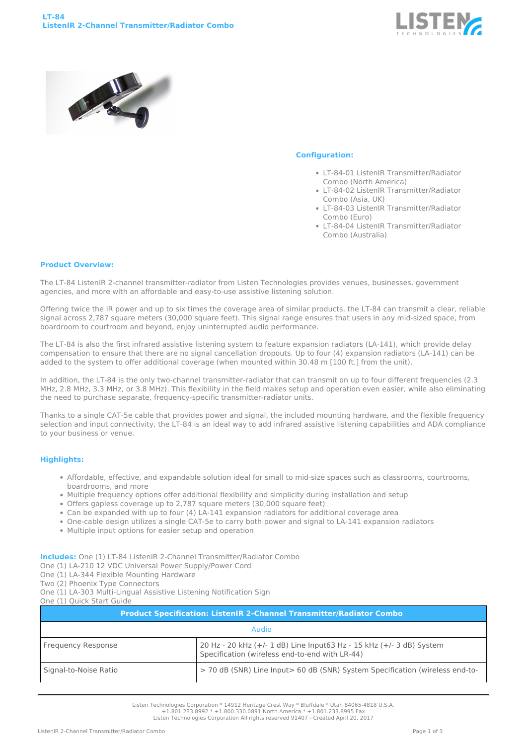



## **Configuration:**

- LT-84-01 ListenIR Transmitter/Radiator Combo (North America)
- LT-84-02 ListenIR Transmitter/Radiator Combo (Asia, UK)
- LT-84-03 ListenIR Transmitter/Radiator Combo (Euro)
- LT-84-04 ListenIR Transmitter/Radiator Combo (Australia)

## **Product Overview:**

The LT-84 ListenIR 2-channel transmitter-radiator from Listen Technologies provides venues, businesses, government agencies, and more with an affordable and easy-to-use assistive listening solution.

Offering twice the IR power and up to six times the coverage area of similar products, the LT-84 can transmit a clear, reliable signal across 2,787 square meters (30,000 square feet). This signal range ensures that users in any mid-sized space, from boardroom to courtroom and beyond, enjoy uninterrupted audio performance.

The LT-84 is also the first infrared assistive listening system to feature expansion radiators (LA-141), which provide delay compensation to ensure that there are no signal cancellation dropouts. Up to four (4) expansion radiators (LA-141) can be added to the system to offer additional coverage (when mounted within 30.48 m [100 ft.] from the unit).

In addition, the LT-84 is the only two-channel transmitter-radiator that can transmit on up to four different frequencies (2.3 MHz, 2.8 MHz, 3.3 MHz, or 3.8 MHz). This flexibility in the field makes setup and operation even easier, while also eliminating the need to purchase separate, frequency-specific transmitter-radiator units.

Thanks to a single CAT-5e cable that provides power and signal, the included mounting hardware, and the flexible frequency selection and input connectivity, the LT-84 is an ideal way to add infrared assistive listening capabilities and ADA compliance to your business or venue.

## **Highlights:**

- Affordable, effective, and expandable solution ideal for small to mid-size spaces such as classrooms, courtrooms, boardrooms, and more
- Multiple frequency options offer additional flexibility and simplicity during installation and setup
- Offers gapless coverage up to 2,787 square meters (30,000 square feet)
- Can be expanded with up to four (4) LA-141 expansion radiators for additional coverage area
- One-cable design utilizes a single CAT-5e to carry both power and signal to LA-141 expansion radiators
- Multiple input options for easier setup and operation

**Includes:** One (1) LT-84 ListenIR 2-Channel Transmitter/Radiator Combo

- One (1) LA-210 12 VDC Universal Power Supply/Power Cord
- One (1) LA-344 Flexible Mounting Hardware
- Two (2) Phoenix Type Connectors

One (1) LA-303 Multi-Lingual Assistive Listening Notification Sign One (1) Quick Start Guide

| <b>Product Specification: ListenIR 2-Channel Transmitter/Radiator Combo</b> |                                                                                                                        |  |
|-----------------------------------------------------------------------------|------------------------------------------------------------------------------------------------------------------------|--|
| <b>Audio</b>                                                                |                                                                                                                        |  |
| <b>Frequency Response</b>                                                   | 20 Hz - 20 kHz (+/- 1 dB) Line Input63 Hz - 15 kHz (+/- 3 dB) System<br>Specification (wireless end-to-end with LR-44) |  |
| Signal-to-Noise Ratio                                                       | > 70 dB (SNR) Line Input> 60 dB (SNR) System Specification (wireless end-to-                                           |  |

Listen Technologies Corporation \* 14912 Heritage Crest Way \* Bluffdale \* Utah 84065-4818 U.S.A.

+1.801.233.8992 \* +1.800.330.0891 North America \* +1.801.233.8995 Fax Listen Technologies Corporation All rights reserved 91407 - Created April 20, 2017

ListenIR 2-Channel Transmitter/Radiator Combo Page 1 of 3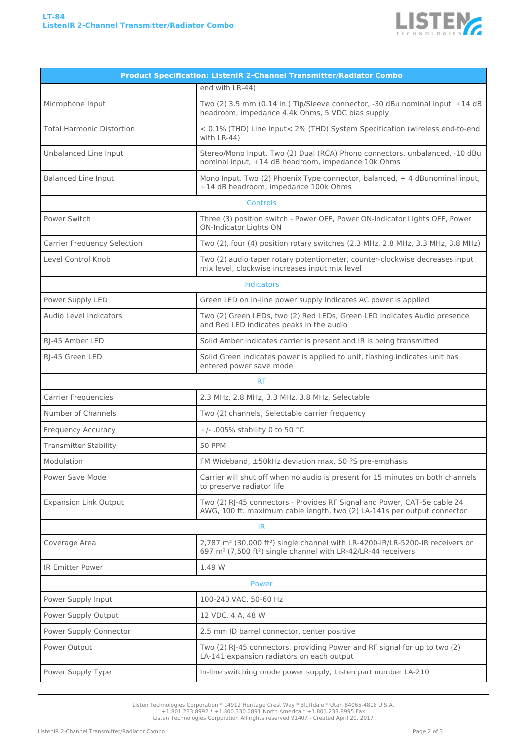

| <b>Product Specification: ListenIR 2-Channel Transmitter/Radiator Combo</b>                                                                                                                    |  |  |
|------------------------------------------------------------------------------------------------------------------------------------------------------------------------------------------------|--|--|
| end with LR-44)                                                                                                                                                                                |  |  |
| Two (2) 3.5 mm (0.14 in.) Tip/Sleeve connector, -30 dBu nominal input, +14 dB<br>headroom, impedance 4.4k Ohms, 5 VDC bias supply                                                              |  |  |
| < 0.1% (THD) Line Input< 2% (THD) System Specification (wireless end-to-end<br>with LR-44)                                                                                                     |  |  |
| Stereo/Mono Input. Two (2) Dual (RCA) Phono connectors, unbalanced, -10 dBu<br>nominal input, +14 dB headroom, impedance 10k Ohms                                                              |  |  |
| Mono Input. Two (2) Phoenix Type connector, balanced, +4 dBunominal input,<br>+14 dB headroom, impedance 100k Ohms                                                                             |  |  |
| <b>Controls</b>                                                                                                                                                                                |  |  |
| Three (3) position switch - Power OFF, Power ON-Indicator Lights OFF, Power<br><b>ON-Indicator Lights ON</b>                                                                                   |  |  |
| Two (2), four (4) position rotary switches (2.3 MHz, 2.8 MHz, 3.3 MHz, 3.8 MHz)                                                                                                                |  |  |
| Two (2) audio taper rotary potentiometer, counter-clockwise decreases input<br>mix level, clockwise increases input mix level                                                                  |  |  |
| <b>Indicators</b>                                                                                                                                                                              |  |  |
| Green LED on in-line power supply indicates AC power is applied                                                                                                                                |  |  |
| Two (2) Green LEDs, two (2) Red LEDs, Green LED indicates Audio presence<br>and Red LED indicates peaks in the audio                                                                           |  |  |
| Solid Amber indicates carrier is present and IR is being transmitted                                                                                                                           |  |  |
| Solid Green indicates power is applied to unit, flashing indicates unit has<br>entered power save mode                                                                                         |  |  |
| <b>RF</b>                                                                                                                                                                                      |  |  |
| 2.3 MHz, 2.8 MHz, 3.3 MHz, 3.8 MHz, Selectable                                                                                                                                                 |  |  |
| Two (2) channels, Selectable carrier frequency                                                                                                                                                 |  |  |
| +/- .005% stability 0 to 50 °C                                                                                                                                                                 |  |  |
| <b>50 PPM</b>                                                                                                                                                                                  |  |  |
| FM Wideband, ±50kHz deviation max, 50 ?S pre-emphasis                                                                                                                                          |  |  |
| Carrier will shut off when no audio is present for 15 minutes on both channels<br>to preserve radiator life                                                                                    |  |  |
| Two (2) RJ-45 connectors - Provides RF Signal and Power, CAT-5e cable 24<br>AWG, 100 ft. maximum cable length, two (2) LA-141s per output connector                                            |  |  |
| IR                                                                                                                                                                                             |  |  |
| 2,787 m <sup>2</sup> (30,000 ft <sup>2</sup> ) single channel with LR-4200-IR/LR-5200-IR receivers or<br>697 m <sup>2</sup> (7,500 ft <sup>2</sup> ) single channel with LR-42/LR-44 receivers |  |  |
| 1.49 W                                                                                                                                                                                         |  |  |
| Power                                                                                                                                                                                          |  |  |
| 100-240 VAC, 50-60 Hz                                                                                                                                                                          |  |  |
| 12 VDC, 4 A, 48 W                                                                                                                                                                              |  |  |
| 2.5 mm ID barrel connector, center positive                                                                                                                                                    |  |  |
| Two (2) RJ-45 connectors. providing Power and RF signal for up to two (2)<br>LA-141 expansion radiators on each output                                                                         |  |  |
| In-line switching mode power supply, Listen part number LA-210                                                                                                                                 |  |  |
|                                                                                                                                                                                                |  |  |

Listen Technologies Corporation \* 14912 Heritage Crest Way \* Bluffdale \* Utah 84065-4818 U.S.A. +1.801.233.8992 \* +1.800.330.0891 North America \* +1.801.233.8995 Fax Listen Technologies Corporation All rights reserved 91407 - Created April 20, 2017